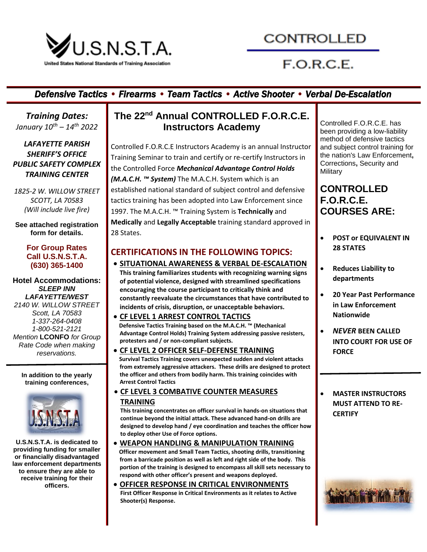

# CONTROLLED

# $F.O.R.C.E.$

### *Defensive Tactics • Firearms • Team Tactics • Active Shooter • Verbal De-Escalation*

*Training Dates: January 10th – 14th 2022*

*LAFAYETTE PARISH SHERIFF'S OFFICE PUBLIC SAFETY COMPLEX TRAINING CENTER*

*1825-2 W. WILLOW STREET SCOTT, LA 70583 (Will include live fire)*

**See attached registration form for details.**

#### **For Group Rates Call U.S.N.S.T.A. (630) 365-1400**

**Hotel Accommodations:** *SLEEP INN LAFAYETTE/WEST 2140 W. WILLOW STREET Scott, LA 70583 1-337-264-0408 1-800-521-2121 Mention* **LCONFO** *for Group Rate Code when making reservations.*

**In addition to the yearly training conferences,** 



**U.S.N.S.T.A. is dedicated to providing funding for smaller or financially disadvantaged law enforcement departments to ensure they are able to receive training for their officers.**

## **The 22 nd Annual CONTROLLED F.O.R.C.E. Instructors Academy**

Controlled F.O.R.C.E Instructors Academy is an annual Instructor Training Seminar to train and certify or re-certify Instructors in the Controlled Force *Mechanical Advantage Control Holds (M.A.C.H. ™ System)* The M.A.C.H. System which is an established national standard of subject control and defensive tactics training has been adopted into Law Enforcement since 1997. The M.A.C.H. ™ Training System is **Technically** and **Medically** and **Legally Acceptable** training standard approved in 28 States.

### **CERTIFICATIONS IN THE FOLLOWING TOPICS:**

• **SITUATIONAL AWARENESS & VERBAL DE-ESCALATION This training familiarizes students with recognizing warning signs of potential violence, designed with streamlined specifications encouraging the course participant to critically think and constantly reevaluate the circumstances that have contributed to incidents of crisis, disruption, or unacceptable behaviors.**

• **CF LEVEL 1 ARREST CONTROL TACTICS Defensive Tactics Training based on the M.A.C.H. ™ (Mechanical Advantage Control Holds) Training System addressing passive resisters, protesters and / or non-compliant subjects.**

- **CF LEVEL 2 OFFICER SELF-DEFENSE TRAINING Survival Tactics Training covers unexpected sudden and violent attacks from extremely aggressive attackers. These drills are designed to protect the officer and others from bodily harm. This training coincides with Arrest Control Tactics**
- **CF LEVEL 3 COMBATIVE COUNTER MEASURES TRAINING**

**This training concentrates on officer survival in hands-on situations that continue beyond the initial attack. These advanced hand-on drills are designed to develop hand / eye coordination and teaches the officer how to deploy other Use of Force options.**

- **WEAPON HANDLING & MANIPULATION TRAINING Officer movement and Small Team Tactics, shooting drills, transitioning from a barricade position as well as left and right side of the body. This portion of the training is designed to encompass all skill sets necessary to respond with other officer's present and weapons deployed.**
- **OFFICER RESPONSE IN CRITICAL ENVIRONMENTS First Officer Response in Critical Environments as it relates to Active Shooter(s) Response.**

Controlled F.O.R.C.E. has been providing a low-liability method of defensive tactics and subject control training for the nation's Law Enforcement**,**  Corrections**,** Security and **Military** 

### **CONTROLLED F.O.R.C.E. COURSES ARE:**

- **POST or EQUIVALENT IN 28 STATES**
- **Reduces Liability to departments**
- **20 Year Past Performance in Law Enforcement Nationwide**
- *NEVER* **BEEN CALLED INTO COURT FOR USE OF FORCE**
- **MASTER INSTRUCTORS MUST ATTEND TO RE-CERTIFY**

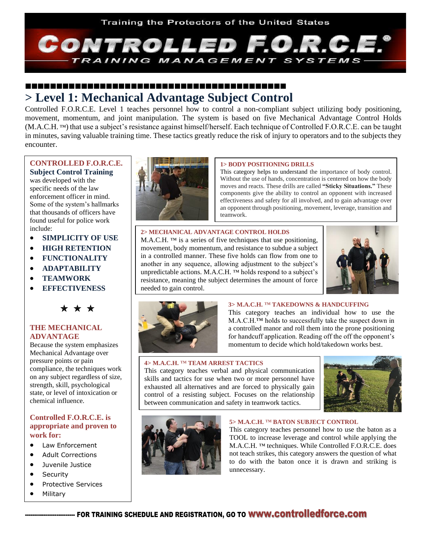

### **> Level 1: Mechanical Advantage Subject Control**

Controlled F.O.R.C.E. Level 1 teaches personnel how to control a non-compliant subject utilizing body positioning, movement, momentum, and joint manipulation. The system is based on five Mechanical Advantage Control Holds (M.A.C.H. ™) that use a subject's resistance against himself/herself. Each technique of Controlled F.O.R.C.E. can be taught in minutes, saving valuable training time. These tactics greatly reduce the risk of injury to operators and to the subjects they encounter.

### **CONTROLLED F.O.R.C.E.**

**Subject Control Training** was developed with the specific needs of the law enforcement officer in mind. Some of the system's hallmarks that thousands of officers have found useful for police work include:

- **SIMPLICITY OF USE**
- **HIGH RETENTION**
- **FUNCTIONALITY**
- **ADAPTABILITY**
- **TEAMWORK**
- **EFFECTIVENESS**



#### **THE MECHANICAL ADVANTAGE**

Because the system emphasizes Mechanical Advantage over pressure points or pain compliance, the techniques work on any subject regardless of size, strength, skill, psychological state, or level of intoxication or chemical influence.

#### **Controlled F.O.R.C.E. is appropriate and proven to work for:**

- Law Enforcement
- Adult Corrections
- Juvenile Justice
- Security
- Protective Services
- **Military**



#### **1> BODY POSITIONING DRILLS**

This category helps to understand the importance of body control. Without the use of hands, concentration is centered on how the body moves and reacts. These drills are called **"Sticky Situations."** These components give the ability to control an opponent with increased effectiveness and safety for all involved, and to gain advantage over an opponent through positioning, movement, leverage, transition and teamwork.

#### **2> MECHANICAL ADVANTAGE CONTROL HOLDS**

M.A.C.H. ™ is a series of five techniques that use positioning, movement, body momentum, and resistance to subdue a subject in a controlled manner. These five holds can flow from one to another in any sequence, allowing adjustment to the subject's unpredictable actions. M.A.C.H. ™ holds respond to a subject's resistance, meaning the subject determines the amount of force needed to gain control.





#### **3> M.A.C.H.** ™ **TAKEDOWNS & HANDCUFFING**

This category teaches an individual how to use the M.A.C.H.™ holds to successfully take the suspect down in a controlled manor and roll them into the prone positioning for handcuff application. Reading off the off the opponent's momentum to decide which hold/takedown works best.

#### **4> M.A.C.H.** ™ **TEAM ARREST TACTICS**

This category teaches verbal and physical communication skills and tactics for use when two or more personnel have exhausted all alternatives and are forced to physically gain control of a resisting subject. Focuses on the relationship between communication and safety in teamwork tactics.





#### **5> M.A.C.H.** ™ **BATON SUBJECT CONTROL**

This category teaches personnel how to use the baton as a TOOL to increase leverage and control while applying the M.A.C.H. ™ techniques. While Controlled F.O.R.C.E. does not teach strikes, this category answers the question of what to do with the baton once it is drawn and striking is unnecessary.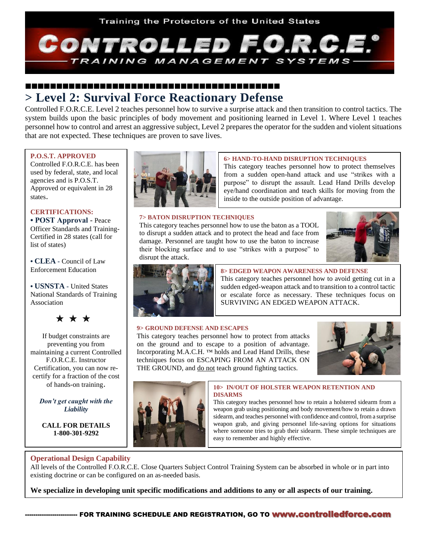

### **> Level 2: Survival Force Reactionary Defense**

Controlled F.O.R.C.E. Level 2 teaches personnel how to survive a surprise attack and then transition to control tactics. The system builds upon the basic principles of body movement and positioning learned in Level 1. Where Level 1 teaches personnel how to control and arrest an aggressive subject, Level 2 prepares the operator for the sudden and violent situations that are not expected. These techniques are proven to save lives.

#### **P.O.S.T. APPROVED**

Controlled F.O.R.C.E. has been used by federal, state, and local agencies and is P.O.S.T. Approved or equivalent in 28 states.

#### **CERTIFICATIONS:**

**• POST Approval** - Peace Officer Standards and Training-Certified in 28 states (call for list of states)

**• CLEA -** Council of Law Enforcement Education

**• USNSTA -** United States National Standards of Training Association

\* \* \*

If budget constraints are preventing you from maintaining a current Controlled F.O.R.C.E. Instructor Certification, you can now recertify for a fraction of the cost of hands-on training.

*Don't get caught with the Liability*

**CALL FOR DETAILS 1-800-301-9292**



#### **6> HAND-TO-HAND DISRUPTION TECHNIQUES**

This category teaches personnel how to protect themselves from a sudden open-hand attack and use "strikes with a purpose" to disrupt the assault. Lead Hand Drills develop eye/hand coordination and teach skills for moving from the inside to the outside position of advantage.

#### **7> BATON DISRUPTION TECHNIQUES**

This category teaches personnel how to use the baton as a TOOL to disrupt a sudden attack and to protect the head and face from damage. Personnel are taught how to use the baton to increase their blocking surface and to use "strikes with a purpose" to disrupt the attack.





#### **8> EDGED WEAPON AWARENESS AND DEFENSE**

This category teaches personnel how to avoid getting cut in a sudden edged-weapon attack and to transition to a control tactic or escalate force as necessary. These techniques focus on SURVIVING AN EDGED WEAPON ATTACK.

#### **9> GROUND DEFENSE AND ESCAPES**

This category teaches personnel how to protect from attacks on the ground and to escape to a position of advantage. Incorporating M.A.C.H. ™ holds and Lead Hand Drills, these techniques focus on ESCAPING FROM AN ATTACK ON THE GROUND, and <u>do not</u> teach ground fighting tactics.





#### **10> IN/OUT OF HOLSTER WEAPON RETENTION AND DISARMS**

This category teaches personnel how to retain a holstered sidearm from a weapon grab using positioning and body movement/how to retain a drawn sidearm, and teaches personnel with confidence and control, from a surprise weapon grab, and giving personnel life-saving options for situations where someone tries to grab their sidearm. These simple techniques are easy to remember and highly effective.

#### **Operational Design Capability**

All levels of the Controlled F.O.R.C.E. Close Quarters Subject Control Training System can be absorbed in whole or in part into existing doctrine or can be configured on an as-needed basis.

**We specialize in developing unit specific modifications and additions to any or all aspects of our training.**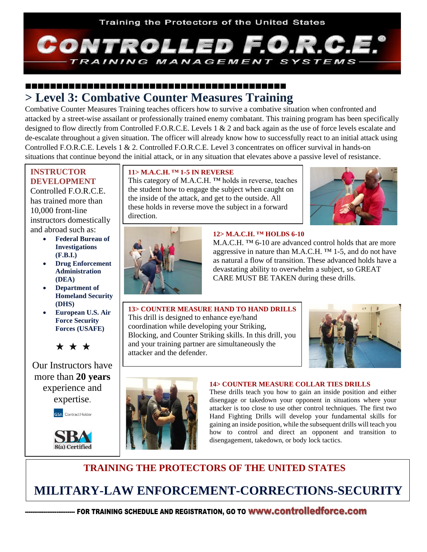

## **> Level 3: Combative Counter Measures Training**

Combative Counter Measures Training teaches officers how to survive a combative situation when confronted and attacked by a street-wise assailant or professionally trained enemy combatant. This training program has been specifically designed to flow directly from Controlled F.O.R.C.E. Levels 1 & 2 and back again as the use of force levels escalate and de-escalate throughout a given situation. The officer will already know how to successfully react to an initial attack using Controlled F.O.R.C.E. Levels 1 & 2. Controlled F.O.R.C.E. Level 3 concentrates on officer survival in hands-on situations that continue beyond the initial attack, or in any situation that elevates above a passive level of resistance.

### **INSTRUCTOR DEVELOPMENT**

 $\overline{\phantom{a}}$ 

Controlled F.O.R.C.E. has trained more than 10,000 front-line instructors domestically and abroad such as:

- **Federal Bureau of Investigations (F.B.I.)**
- **Drug Enforcement Administration (DEA)**
- **Department of Homeland Security (DHS)**
- **European U.S. Air Force Security Forces (USAFE)**



Our Instructors have more than **20 years** experience and expertise.

**GSA** Contract Holder



### **11> M.A.C.H. ™ 1-5 IN REVERSE**

This category of M.A.C.H. ™ holds in reverse, teaches the student how to engage the subject when caught on the inside of the attack, and get to the outside. All these holds in reverse move the subject in a forward direction.





#### **12> M.A.C.H. ™ HOLDS 6-10**

M.A.C.H. ™ 6-10 are advanced control holds that are more aggressive in nature than M.A.C.H.  $TM$  1-5, and do not have as natural a flow of transition. These advanced holds have a devastating ability to overwhelm a subject, so GREAT CARE MUST BE TAKEN during these drills.







#### **14> COUNTER MEASURE COLLAR TIES DRILLS**

These drills teach you how to gain an inside position and either disengage or takedown your opponent in situations where your attacker is too close to use other control techniques. The first two Hand Fighting Drills will develop your fundamental skills for gaining an inside position, while the subsequent drills will teach you how to control and direct an opponent and transition to disengagement, takedown, or body lock tactics.

## **TRAINING THE PROTECTORS OF THE UNITED STATES**

# **MILITARY-LAW ENFORCEMENT-CORRECTIONS-SECURITY**

-------------------------- FOR TRAINING SCHEDULE AND REGISTRATION, GO TO **WWW.CONtrolledforce.com**